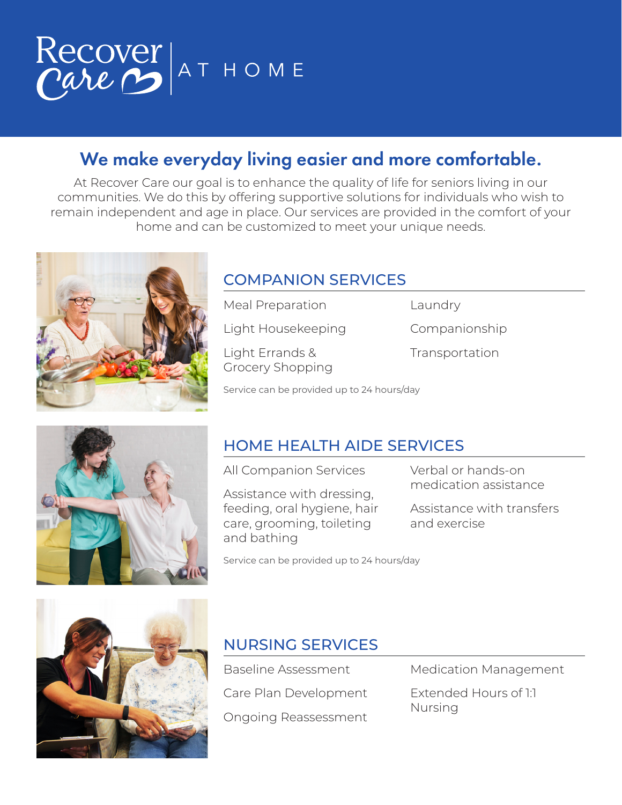

# We make everyday living easier and more comfortable.

At Recover Care our goal is to enhance the quality of life for seniors living in our communities. We do this by offering supportive solutions for individuals who wish to remain independent and age in place. Our services are provided in the comfort of your home and can be customized to meet your unique needs.



### COMPANION SERVICES

Light Housekeeping

Light Errands & Grocery Shopping

Meal Preparation

Companionship

Laundry

Transportation

Service can be provided up to 24 hours/day



## HOME HEALTH AIDE SERVICES

All Companion Services

Assistance with dressing, feeding, oral hygiene, hair care, grooming, toileting and bathing

Verbal or hands-on medication assistance

Assistance with transfers and exercise

Service can be provided up to 24 hours/day



### NURSING SERVICES

Baseline Assessment Care Plan Development Ongoing Reassessment Medication Management

Extended Hours of 1:1 Nursing